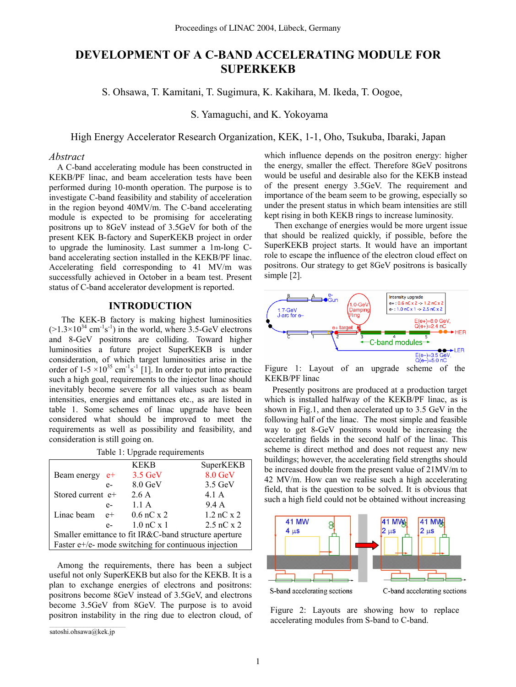# **DEVELOPMENT OF A C-BAND ACCELERATING MODULE FOR SUPERKEKB**

S. Ohsawa, T. Kamitani, T. Sugimura, K. Kakihara, M. Ikeda, T. Oogoe,

S. Yamaguchi, and K. Yokoyama

High Energy Accelerator Research Organization, KEK, 1-1, Oho, Tsukuba, Ibaraki, Japan

## *Abstract*

A C-band accelerating module has been constructed in KEKB/PF linac, and beam acceleration tests have been performed during 10-month operation. The purpose is to investigate C-band feasibility and stability of acceleration in the region beyond 40MV/m. The C-band accelerating module is expected to be promising for accelerating positrons up to 8GeV instead of 3.5GeV for both of the present KEK B-factory and SuperKEKB project in order to upgrade the luminosity. Last summer a 1m-long Cband accelerating section installed in the KEKB/PF linac. Accelerating field corresponding to 41 MV/m was successfully achieved in October in a beam test. Present status of C-band accelerator development is reported.

## **INTRODUCTION**

 The KEK-B factory is making highest luminosities  $(>1.3\times10^{34} \text{ cm}^{-1}\text{s}^{-1})$  in the world, where 3.5-GeV electrons and 8-GeV positrons are colliding. Toward higher luminosities a future project SuperKEKB is under consideration, of which target luminosities arise in the order of  $1-5 \times 10^{35}$  cm<sup>-1</sup>s<sup>-1</sup> [1]. In order to put into practice such a high goal, requirements to the injector linac should inevitably become severe for all values such as beam intensities, energies and emittances etc., as are listed in table 1. Some schemes of linac upgrade have been considered what should be improved to meet the requirements as well as possibility and feasibility, and consideration is still going on.

|                                                             |      | <b>KEKB</b>       | SuperKEKB    |  |
|-------------------------------------------------------------|------|-------------------|--------------|--|
| Beam energy                                                 | $e+$ | $3.5 \text{ GeV}$ | 8.0 GeV      |  |
|                                                             | $e-$ | 8.0 GeV           | 3.5 GeV      |  |
| Stored current $e^+$                                        |      | 2.6A              | 4.1 A        |  |
|                                                             | $e-$ | 1.1A              | 9.4 A        |  |
| Linac beam                                                  | $e+$ | $0.6$ nC x 2      | $1.2$ nC x 2 |  |
|                                                             | $e-$ | $1.0$ nC $x$ 1    | $2.5$ nC x 2 |  |
| Smaller emittance to fit IR&C-band structure aperture       |      |                   |              |  |
| Faster $e$ +/ $e$ - mode switching for continuous injection |      |                   |              |  |

Table 1: Upgrade requirements

Among the requirements, there has been a subject useful not only SuperKEKB but also for the KEKB. It is a plan to exchange energies of electrons and positrons: positrons become 8GeV instead of 3.5GeV, and electrons become 3.5GeV from 8GeV. The purpose is to avoid positron instability in the ring due to electron cloud, of which influence depends on the positron energy: higher the energy, smaller the effect. Therefore 8GeV positrons would be useful and desirable also for the KEKB instead of the present energy 3.5GeV. The requirement and importance of the beam seem to be growing, especially so under the present status in which beam intensities are still kept rising in both KEKB rings to increase luminosity.

 Then exchange of energies would be more urgent issue that should be realized quickly, if possible, before the SuperKEKB project starts. It would have an important role to escape the influence of the electron cloud effect on positrons. Our strategy to get 8GeV positrons is basically simple [2].



KEKB/PF linac Figure 1: Layout of an upgrade scheme of the

Presently positrons are produced at a production target which is installed halfway of the KEKB/PF linac, as is shown in Fig.1, and then accelerated up to 3.5 GeV in the following half of the linac. The most simple and feasible way to get 8-GeV positrons would be increasing the accelerating fields in the second half of the linac. This scheme is direct method and does not request any new buildings; however, the accelerating field strengths should be increased double from the present value of 21MV/m to 42 MV/m. How can we realise such a high accelerating field, that is the question to be solved. It is obvious that such a high field could not be obtained without increasing



S-band accelerating sections

C-band accelerating sections

Figure 2: Layouts are showing how to replace accelerating modules from S-band to C-band.

satoshi.ohsawa@kek.jp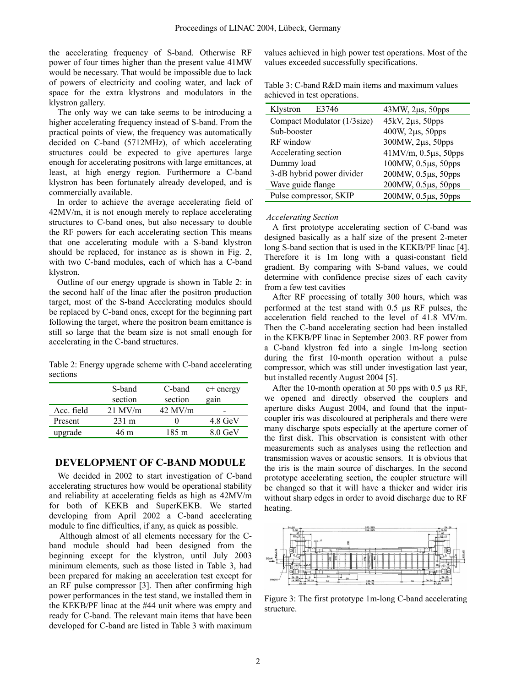the accelerating frequency of S-band. Otherwise RF power of four times higher than the present value 41MW would be necessary. That would be impossible due to lack of powers of electricity and cooling water, and lack of space for the extra klystrons and modulators in the klystron gallery.

The only way we can take seems to be introducing a higher accelerating frequency instead of S-band. From the practical points of view, the frequency was automatically decided on C-band (5712MHz), of which accelerating structures could be expected to give apertures large enough for accelerating positrons with large emittances, at least, at high energy region. Furthermore a C-band klystron has been fortunately already developed, and is commercially available.

In order to achieve the average accelerating field of 42MV/m, it is not enough merely to replace accelerating structures to C-band ones, but also necessary to double the RF powers for each accelerating section This means that one accelerating module with a S-band klystron should be replaced, for instance as is shown in Fig. 2, with two C-band modules, each of which has a C-band klystron.

Outline of our energy upgrade is shown in Table 2: in the second half of the linac after the positron production target, most of the S-band Accelerating modules should be replaced by C-band ones, except for the beginning part following the target, where the positron beam emittance is still so large that the beam size is not small enough for accelerating in the C-band structures.

Table 2: Energy upgrade scheme with C-band accelerating sections

|            | S-band<br>section | C-band<br>section | $e$ + energy<br>gain |
|------------|-------------------|-------------------|----------------------|
| Acc. field | $21$ MV/m         | $42$ MV/m         |                      |
| Present    | $231 \text{ m}$   |                   | 4.8 GeV              |
| upgrade    | 46 m              | 185 m             | $8.0$ GeV            |

## **DEVELOPMENT OF C-BAND MODULE**

We decided in 2002 to start investigation of C-band accelerating structures how would be operational stability and reliability at accelerating fields as high as 42MV/m for both of KEKB and SuperKEKB. We started developing from April 2002 a C-band accelerating module to fine difficulties, if any, as quick as possible.

 Although almost of all elements necessary for the Cband module should had been designed from the beginning except for the klystron, until July 2003 minimum elements, such as those listed in Table 3, had been prepared for making an acceleration test except for an RF pulse compressor [3]. Then after confirming high power performances in the test stand, we installed them in the KEKB/PF linac at the #44 unit where was empty and ready for C-band. The relevant main items that have been developed for C-band are listed in Table 3 with maximum values achieved in high power test operations. Most of the values exceeded successfully specifications.

| E3746<br>Klystron           | $43MW, 2\mu s, 50pps$            |  |
|-----------------------------|----------------------------------|--|
| Compact Modulator (1/3size) | 45kV, 2µs, 50pps                 |  |
| Sub-booster                 | 400W, 2µs, 50pps                 |  |
| RF window                   | 300MW, 2µs, 50pps                |  |
| Accelerating section        | $41MV/m, 0.5\mu s, 50\text{pps}$ |  |
| Dummy load                  | 100MW, 0.5µs, 50pps              |  |
| 3-dB hybrid power divider   | 200MW, 0.5µs, 50pps              |  |
| Wave guide flange           | 200MW, 0.5µs, 50pps              |  |
| Pulse compressor, SKIP      | 200MW, 0.5µs, 50pps              |  |

Table 3: C-band R&D main items and maximum values achieved in test operations.

#### *Accelerating Section*

A first prototype accelerating section of C-band was designed basically as a half size of the present 2-meter long S-band section that is used in the KEKB/PF linac [4]. Therefore it is 1m long with a quasi-constant field gradient. By comparing with S-band values, we could determine with confidence precise sizes of each cavity from a few test cavities

After RF processing of totally 300 hours, which was performed at the test stand with 0.5 µs RF pulses, the acceleration field reached to the level of 41.8 MV/m. Then the C-band accelerating section had been installed in the KEKB/PF linac in September 2003. RF power from a C-band klystron fed into a single 1m-long section during the first 10-month operation without a pulse compressor, which was still under investigation last year, but installed recently August 2004 [5].

After the 10-month operation at 50 pps with 0.5  $\mu$ s RF, we opened and directly observed the couplers and aperture disks August 2004, and found that the inputcoupler iris was discoloured at peripherals and there were many discharge spots especially at the aperture corner of the first disk. This observation is consistent with other measurements such as analyses using the reflection and transmission waves or acoustic sensors. It is obvious that the iris is the main source of discharges. In the second prototype accelerating section, the coupler structure will be changed so that it will have a thicker and wider iris without sharp edges in order to avoid discharge due to RF heating.



Figure 3: The first prototype 1m-long C-band accelerating structure.